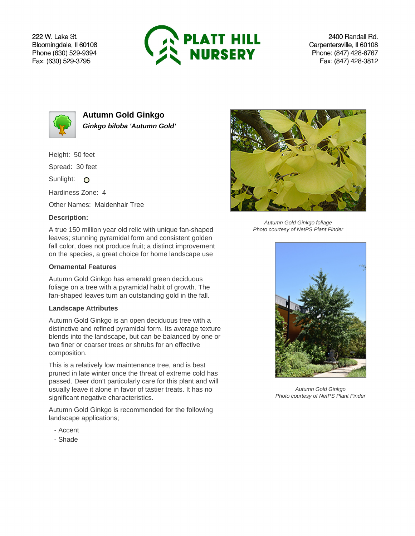222 W. Lake St. Bloomingdale, Il 60108 Phone (630) 529-9394 Fax: (630) 529-3795



2400 Randall Rd. Carpentersville, Il 60108 Phone: (847) 428-6767 Fax: (847) 428-3812



**Autumn Gold Ginkgo Ginkgo biloba 'Autumn Gold'**

Height: 50 feet

Spread: 30 feet

Sunlight: O

Hardiness Zone: 4

Other Names: Maidenhair Tree

## **Description:**

A true 150 million year old relic with unique fan-shaped leaves; stunning pyramidal form and consistent golden fall color, does not produce fruit; a distinct improvement on the species, a great choice for home landscape use

## **Ornamental Features**

Autumn Gold Ginkgo has emerald green deciduous foliage on a tree with a pyramidal habit of growth. The fan-shaped leaves turn an outstanding gold in the fall.

## **Landscape Attributes**

Autumn Gold Ginkgo is an open deciduous tree with a distinctive and refined pyramidal form. Its average texture blends into the landscape, but can be balanced by one or two finer or coarser trees or shrubs for an effective composition.

This is a relatively low maintenance tree, and is best pruned in late winter once the threat of extreme cold has passed. Deer don't particularly care for this plant and will usually leave it alone in favor of tastier treats. It has no significant negative characteristics.

Autumn Gold Ginkgo is recommended for the following landscape applications;

- Accent
- Shade



Autumn Gold Ginkgo foliage Photo courtesy of NetPS Plant Finder



Autumn Gold Ginkgo Photo courtesy of NetPS Plant Finder